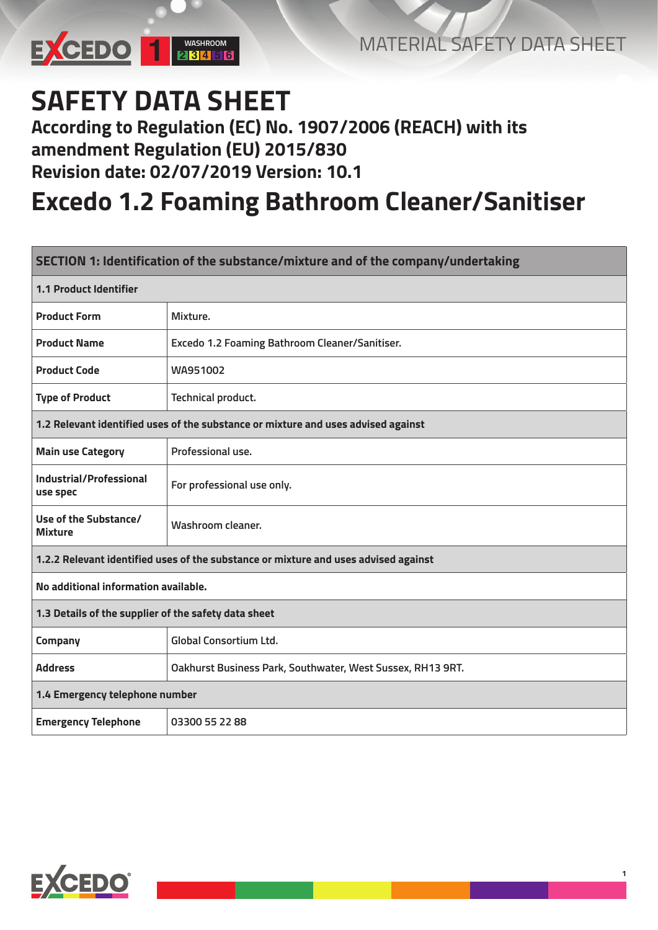

**1**

## **SAFETY DATA SHEET**

#### **According to Regulation (EC) No. 1907/2006 (REACH) with its amendment Regulation (EU) 2015/830 Revision date: 02/07/2019 Version: 10.1**

### **Excedo 1.2 Foaming Bathroom Cleaner/Sanitiser**

| SECTION 1: Identification of the substance/mixture and of the company/undertaking   |                                                            |  |
|-------------------------------------------------------------------------------------|------------------------------------------------------------|--|
| <b>1.1 Product Identifier</b>                                                       |                                                            |  |
| <b>Product Form</b>                                                                 | Mixture.                                                   |  |
| <b>Product Name</b>                                                                 | Excedo 1.2 Foaming Bathroom Cleaner/Sanitiser.             |  |
| <b>Product Code</b>                                                                 | WA951002                                                   |  |
| <b>Type of Product</b>                                                              | Technical product.                                         |  |
| 1.2 Relevant identified uses of the substance or mixture and uses advised against   |                                                            |  |
| <b>Main use Category</b>                                                            | Professional use.                                          |  |
| Industrial/Professional<br>use spec                                                 | For professional use only.                                 |  |
| Use of the Substance/<br><b>Mixture</b>                                             | Washroom cleaner.                                          |  |
| 1.2.2 Relevant identified uses of the substance or mixture and uses advised against |                                                            |  |
| No additional information available.                                                |                                                            |  |
| 1.3 Details of the supplier of the safety data sheet                                |                                                            |  |
| Company                                                                             | <b>Global Consortium Ltd.</b>                              |  |
| <b>Address</b>                                                                      | Oakhurst Business Park, Southwater, West Sussex, RH13 9RT. |  |
| 1.4 Emergency telephone number                                                      |                                                            |  |
| <b>Emergency Telephone</b>                                                          | 03300 55 22 88                                             |  |

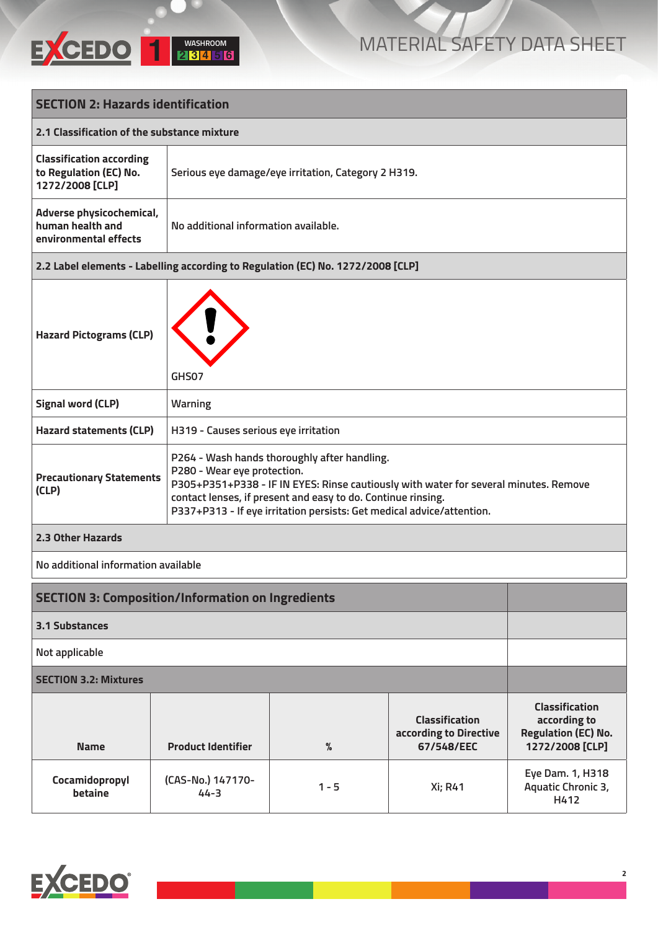

| <b>SECTION 2: Hazards identification</b>                                        |                                                                                                                                                                                                                                                                                                              |                                                     |                                                               |                                                                                        |
|---------------------------------------------------------------------------------|--------------------------------------------------------------------------------------------------------------------------------------------------------------------------------------------------------------------------------------------------------------------------------------------------------------|-----------------------------------------------------|---------------------------------------------------------------|----------------------------------------------------------------------------------------|
|                                                                                 | 2.1 Classification of the substance mixture                                                                                                                                                                                                                                                                  |                                                     |                                                               |                                                                                        |
| <b>Classification according</b><br>to Regulation (EC) No.<br>1272/2008 [CLP]    |                                                                                                                                                                                                                                                                                                              | Serious eye damage/eye irritation, Category 2 H319. |                                                               |                                                                                        |
| Adverse physicochemical,<br>human health and<br>environmental effects           |                                                                                                                                                                                                                                                                                                              | No additional information available.                |                                                               |                                                                                        |
| 2.2 Label elements - Labelling according to Regulation (EC) No. 1272/2008 [CLP] |                                                                                                                                                                                                                                                                                                              |                                                     |                                                               |                                                                                        |
| <b>Hazard Pictograms (CLP)</b><br>GHS07                                         |                                                                                                                                                                                                                                                                                                              |                                                     |                                                               |                                                                                        |
| <b>Signal word (CLP)</b>                                                        | <b>Warning</b>                                                                                                                                                                                                                                                                                               |                                                     |                                                               |                                                                                        |
| <b>Hazard statements (CLP)</b>                                                  |                                                                                                                                                                                                                                                                                                              | H319 - Causes serious eye irritation                |                                                               |                                                                                        |
| <b>Precautionary Statements</b><br>(CLP)                                        | P264 - Wash hands thoroughly after handling.<br>P280 - Wear eye protection.<br>P305+P351+P338 - IF IN EYES: Rinse cautiously with water for several minutes. Remove<br>contact lenses, if present and easy to do. Continue rinsing.<br>P337+P313 - If eye irritation persists: Get medical advice/attention. |                                                     |                                                               |                                                                                        |
| 2.3 Other Hazards                                                               |                                                                                                                                                                                                                                                                                                              |                                                     |                                                               |                                                                                        |
| No additional information available                                             |                                                                                                                                                                                                                                                                                                              |                                                     |                                                               |                                                                                        |
| <b>SECTION 3: Composition/Information on Ingredients</b>                        |                                                                                                                                                                                                                                                                                                              |                                                     |                                                               |                                                                                        |
| <b>3.1 Substances</b>                                                           |                                                                                                                                                                                                                                                                                                              |                                                     |                                                               |                                                                                        |
| Not applicable                                                                  |                                                                                                                                                                                                                                                                                                              |                                                     |                                                               |                                                                                        |
| <b>SECTION 3.2: Mixtures</b>                                                    |                                                                                                                                                                                                                                                                                                              |                                                     |                                                               |                                                                                        |
| <b>Name</b>                                                                     | <b>Product Identifier</b>                                                                                                                                                                                                                                                                                    | $\%$                                                | <b>Classification</b><br>according to Directive<br>67/548/EEC | <b>Classification</b><br>according to<br><b>Regulation (EC) No.</b><br>1272/2008 [CLP] |
| Cocamidopropyl<br>betaine                                                       | (CAS-No.) 147170-<br>$44 - 3$                                                                                                                                                                                                                                                                                | $1 - 5$                                             | <b>Xi</b> ; R41                                               | Eye Dam. 1, H318<br>Aquatic Chronic 3,<br>H412                                         |

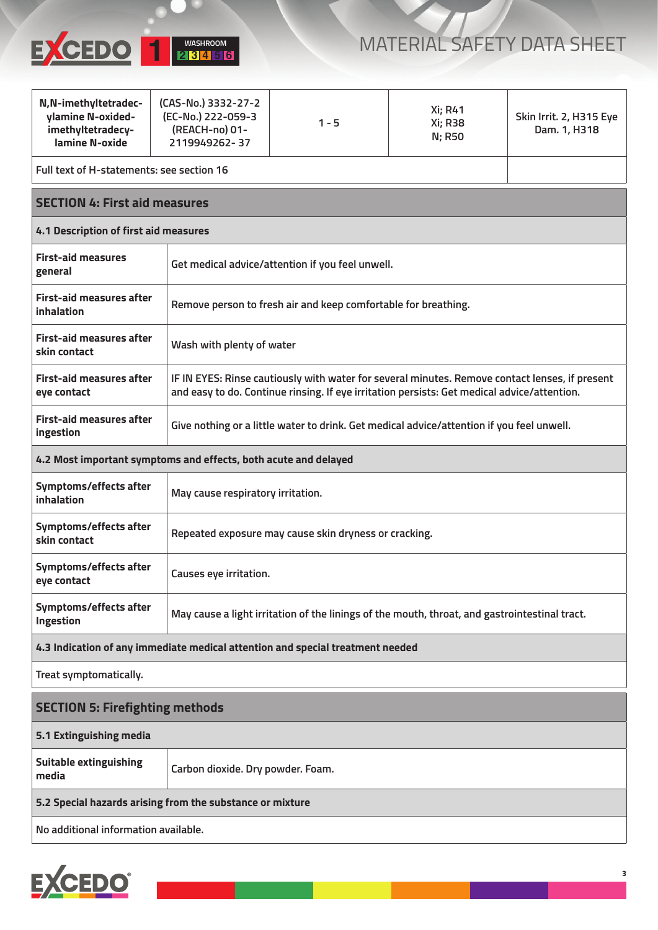

| N,N-imethyltetradec-<br>ylamine N-oxided-<br>imethyltetradecy-<br><b>lamine N-oxide</b> | (CAS-No.) 3332-27-2<br>(EC-No.) 222-059-3<br>(REACH-no) 01-<br>2119949262-37 | $1 - 5$                                                                                                                                                                                       | Xi; R41<br><b>Xi; R38</b><br><b>N; R50</b> | Skin Irrit. 2, H315 Eye<br>Dam. 1, H318 |
|-----------------------------------------------------------------------------------------|------------------------------------------------------------------------------|-----------------------------------------------------------------------------------------------------------------------------------------------------------------------------------------------|--------------------------------------------|-----------------------------------------|
|                                                                                         | Full text of H-statements: see section 16                                    |                                                                                                                                                                                               |                                            |                                         |
|                                                                                         | <b>SECTION 4: First aid measures</b>                                         |                                                                                                                                                                                               |                                            |                                         |
| 4.1 Description of first aid measures                                                   |                                                                              |                                                                                                                                                                                               |                                            |                                         |
| <b>First-aid measures</b><br>general                                                    |                                                                              | Get medical advice/attention if you feel unwell.                                                                                                                                              |                                            |                                         |
| <b>First-aid measures after</b><br><b>inhalation</b>                                    |                                                                              | Remove person to fresh air and keep comfortable for breathing.                                                                                                                                |                                            |                                         |
| <b>First-aid measures after</b><br>skin contact                                         |                                                                              | Wash with plenty of water                                                                                                                                                                     |                                            |                                         |
| <b>First-aid measures after</b><br>eye contact                                          |                                                                              | IF IN EYES: Rinse cautiously with water for several minutes. Remove contact lenses, if present<br>and easy to do. Continue rinsing. If eye irritation persists: Get medical advice/attention. |                                            |                                         |
| <b>First-aid measures after</b><br>ingestion                                            |                                                                              | Give nothing or a little water to drink. Get medical advice/attention if you feel unwell.                                                                                                     |                                            |                                         |
| 4.2 Most important symptoms and effects, both acute and delayed                         |                                                                              |                                                                                                                                                                                               |                                            |                                         |
| Symptoms/effects after<br>inhalation                                                    |                                                                              | May cause respiratory irritation.                                                                                                                                                             |                                            |                                         |
| Symptoms/effects after<br>skin contact                                                  |                                                                              | Repeated exposure may cause skin dryness or cracking.                                                                                                                                         |                                            |                                         |
| Symptoms/effects after<br>eye contact                                                   | Causes eye irritation.                                                       |                                                                                                                                                                                               |                                            |                                         |
| Symptoms/effects after<br>Ingestion                                                     |                                                                              | May cause a light irritation of the linings of the mouth, throat, and gastrointestinal tract.                                                                                                 |                                            |                                         |
| 4.3 Indication of any immediate medical attention and special treatment needed          |                                                                              |                                                                                                                                                                                               |                                            |                                         |
| Treat symptomatically.                                                                  |                                                                              |                                                                                                                                                                                               |                                            |                                         |
| <b>SECTION 5: Firefighting methods</b>                                                  |                                                                              |                                                                                                                                                                                               |                                            |                                         |
| 5.1 Extinguishing media                                                                 |                                                                              |                                                                                                                                                                                               |                                            |                                         |
| <b>Suitable extinguishing</b><br>media                                                  |                                                                              | Carbon dioxide. Dry powder. Foam.                                                                                                                                                             |                                            |                                         |
| 5.2 Special hazards arising from the substance or mixture                               |                                                                              |                                                                                                                                                                                               |                                            |                                         |
| No additional information available.                                                    |                                                                              |                                                                                                                                                                                               |                                            |                                         |

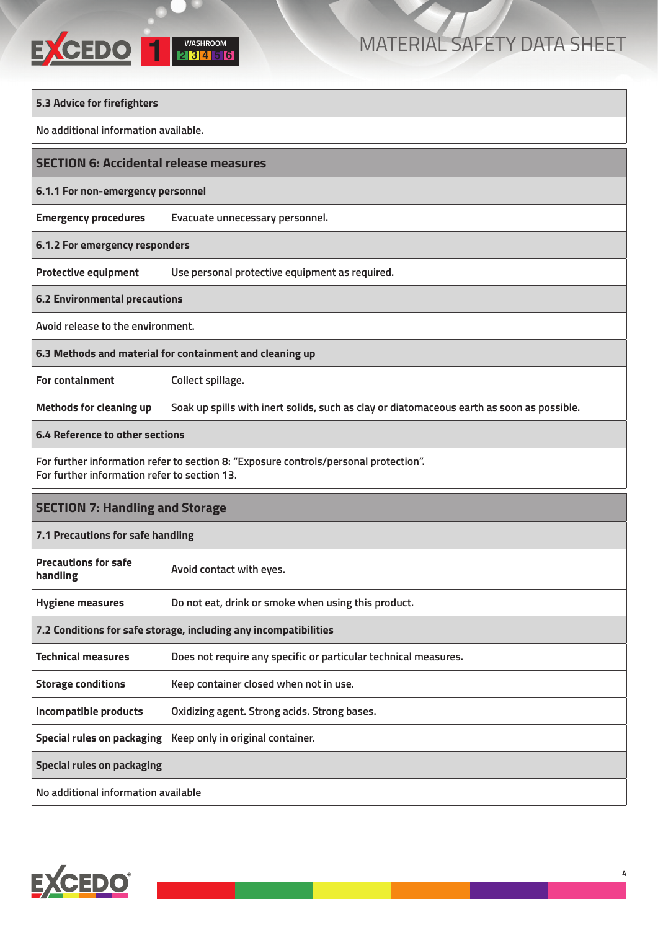# **WASHROOM 1 <sup>2</sup> <sup>3</sup> <sup>4</sup> <sup>5</sup> <sup>6</sup>**

| 5.3 Advice for firefighters                                                                                                          |                                                                                           |  |
|--------------------------------------------------------------------------------------------------------------------------------------|-------------------------------------------------------------------------------------------|--|
| No additional information available.                                                                                                 |                                                                                           |  |
| <b>SECTION 6: Accidental release measures</b>                                                                                        |                                                                                           |  |
| 6.1.1 For non-emergency personnel                                                                                                    |                                                                                           |  |
| <b>Emergency procedures</b>                                                                                                          | Evacuate unnecessary personnel.                                                           |  |
| 6.1.2 For emergency responders                                                                                                       |                                                                                           |  |
| <b>Protective equipment</b>                                                                                                          | Use personal protective equipment as required.                                            |  |
| <b>6.2 Environmental precautions</b>                                                                                                 |                                                                                           |  |
| Avoid release to the environment.                                                                                                    |                                                                                           |  |
| 6.3 Methods and material for containment and cleaning up                                                                             |                                                                                           |  |
| <b>For containment</b>                                                                                                               | Collect spillage.                                                                         |  |
| <b>Methods for cleaning up</b>                                                                                                       | Soak up spills with inert solids, such as clay or diatomaceous earth as soon as possible. |  |
| 6.4 Reference to other sections                                                                                                      |                                                                                           |  |
| For further information refer to section 8: "Exposure controls/personal protection".<br>For further information refer to section 13. |                                                                                           |  |
| <b>SECTION 7: Handling and Storage</b>                                                                                               |                                                                                           |  |
| 7.1 Precautions for safe handling                                                                                                    |                                                                                           |  |
| <b>Precautions for safe</b><br>handling                                                                                              | Avoid contact with eyes.                                                                  |  |
| <b>Hygiene measures</b>                                                                                                              | Do not eat, drink or smoke when using this product.                                       |  |
| 7.2 Conditions for safe storage, including any incompatibilities                                                                     |                                                                                           |  |
| <b>Technical measures</b>                                                                                                            | Does not require any specific or particular technical measures.                           |  |
| <b>Storage conditions</b>                                                                                                            | Keep container closed when not in use.                                                    |  |
| <b>Incompatible products</b>                                                                                                         | Oxidizing agent. Strong acids. Strong bases.                                              |  |
| <b>Special rules on packaging</b>                                                                                                    | Keep only in original container.                                                          |  |
| <b>Special rules on packaging</b>                                                                                                    |                                                                                           |  |
| No additional information available                                                                                                  |                                                                                           |  |

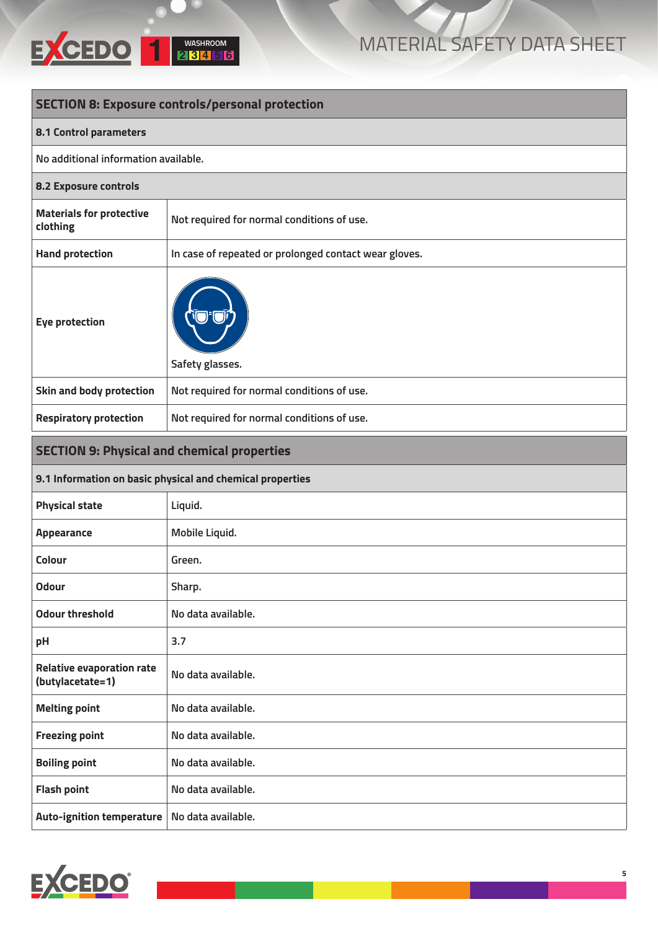

| <b>SECTION 8: Exposure controls/personal protection</b> |                                                           |
|---------------------------------------------------------|-----------------------------------------------------------|
| <b>8.1 Control parameters</b>                           |                                                           |
| No additional information available.                    |                                                           |
| 8.2 Exposure controls                                   |                                                           |
| <b>Materials for protective</b><br>clothing             | Not required for normal conditions of use.                |
| <b>Hand protection</b>                                  | In case of repeated or prolonged contact wear gloves.     |
| <b>Eye protection</b>                                   | Safety glasses.                                           |
| Skin and body protection                                | Not required for normal conditions of use.                |
| <b>Respiratory protection</b>                           | Not required for normal conditions of use.                |
| <b>SECTION 9: Physical and chemical properties</b>      |                                                           |
|                                                         | 9.1 Information on basic physical and chemical properties |
| <b>Physical state</b>                                   | Liquid.                                                   |
| <b>Appearance</b>                                       | Mobile Liquid.                                            |
| <b>Colour</b>                                           | Green.                                                    |
| Odour                                                   | Sharp.                                                    |
| <b>Odour threshold</b>                                  | No data available.                                        |
| pH                                                      | 3.7                                                       |
| <b>Relative evaporation rate</b><br>(butylacetate=1)    | No data available.                                        |
| <b>Melting point</b>                                    | No data available.                                        |
| <b>Freezing point</b>                                   | No data available.                                        |
| <b>Boiling point</b>                                    | No data available.                                        |
| <b>Flash point</b>                                      | No data available.                                        |
| <b>Auto-ignition temperature</b>                        | No data available.                                        |

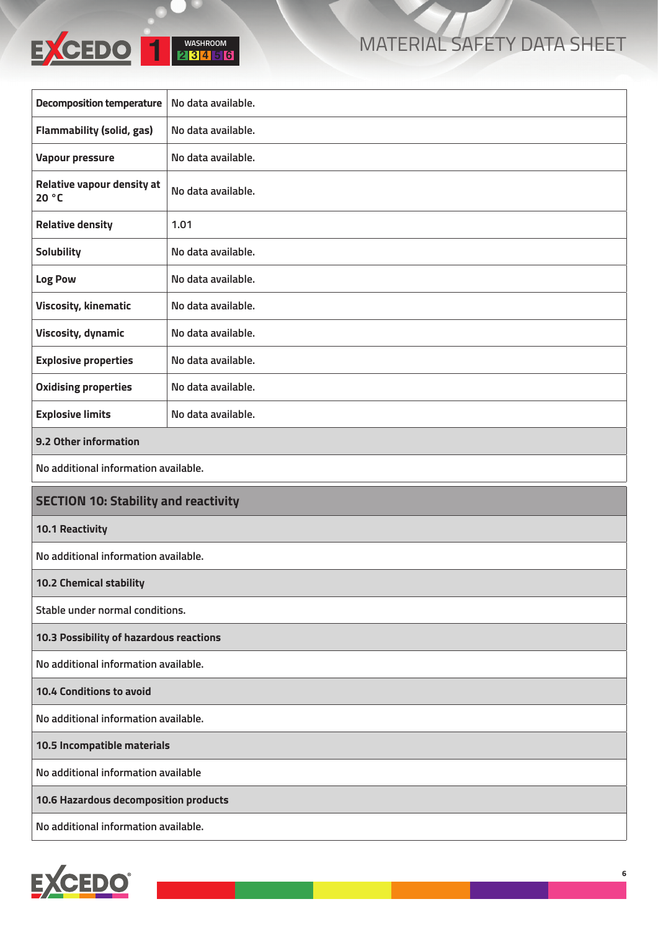

| <b>Decomposition temperature</b>            | No data available. |  |
|---------------------------------------------|--------------------|--|
| <b>Flammability (solid, gas)</b>            | No data available. |  |
| <b>Vapour pressure</b>                      | No data available. |  |
| <b>Relative vapour density at</b><br>20 °C  | No data available. |  |
| <b>Relative density</b>                     | 1.01               |  |
| Solubility                                  | No data available. |  |
| Log Pow                                     | No data available. |  |
| <b>Viscosity, kinematic</b>                 | No data available. |  |
| <b>Viscosity, dynamic</b>                   | No data available. |  |
| <b>Explosive properties</b>                 | No data available. |  |
| <b>Oxidising properties</b>                 | No data available. |  |
| <b>Explosive limits</b>                     | No data available. |  |
| 9.2 Other information                       |                    |  |
| No additional information available.        |                    |  |
| <b>SECTION 10: Stability and reactivity</b> |                    |  |
| <b>10.1 Reactivity</b>                      |                    |  |
| No additional information available.        |                    |  |
| <b>10.2 Chemical stability</b>              |                    |  |
| Stable under normal conditions.             |                    |  |
| 10.3 Possibility of hazardous reactions     |                    |  |
| No additional information available.        |                    |  |
| 10.4 Conditions to avoid                    |                    |  |
| No additional information available.        |                    |  |
| 10.5 Incompatible materials                 |                    |  |
|                                             |                    |  |
| No additional information available         |                    |  |
| 10.6 Hazardous decomposition products       |                    |  |

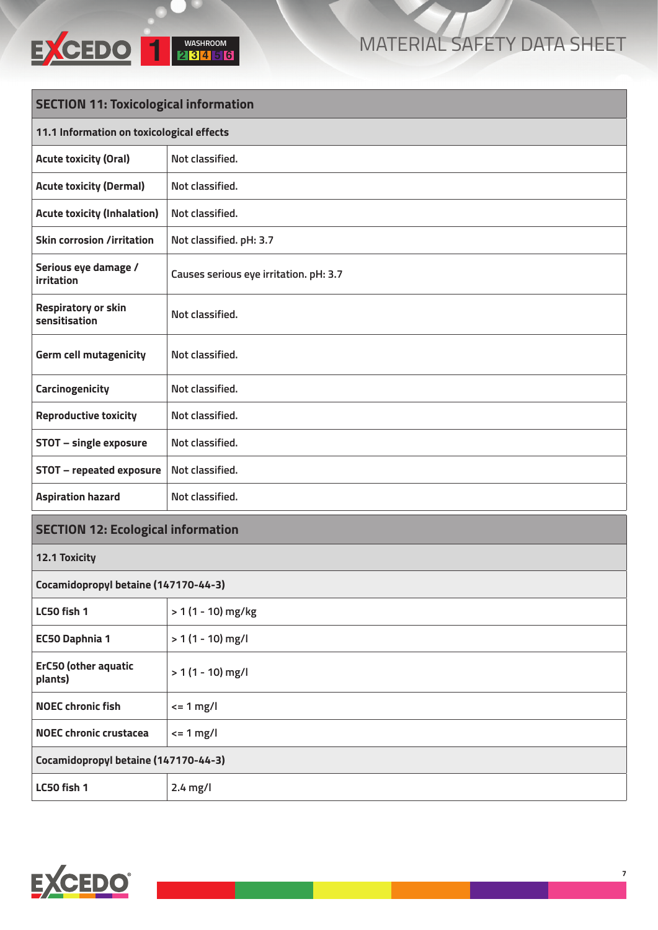

| <b>SECTION 11: Toxicological information</b> |                                        |  |
|----------------------------------------------|----------------------------------------|--|
| 11.1 Information on toxicological effects    |                                        |  |
| <b>Acute toxicity (Oral)</b>                 | Not classified.                        |  |
| <b>Acute toxicity (Dermal)</b>               | Not classified.                        |  |
| <b>Acute toxicity (Inhalation)</b>           | Not classified.                        |  |
| <b>Skin corrosion /irritation</b>            | Not classified. pH: 3.7                |  |
| Serious eye damage /<br><b>irritation</b>    | Causes serious eye irritation. pH: 3.7 |  |
| <b>Respiratory or skin</b><br>sensitisation  | Not classified.                        |  |
| <b>Germ cell mutagenicity</b>                | Not classified.                        |  |
| Carcinogenicity                              | Not classified.                        |  |
| <b>Reproductive toxicity</b>                 | Not classified.                        |  |
| <b>STOT - single exposure</b>                | Not classified.                        |  |
| <b>STOT - repeated exposure</b>              | Not classified.                        |  |
| <b>Aspiration hazard</b>                     | Not classified.                        |  |
| <b>SECTION 12: Ecological information</b>    |                                        |  |
| 12.1 Toxicity                                |                                        |  |
| Cocamidopropyl betaine (147170-44-3)         |                                        |  |
| LC50 fish 1                                  | > 1 (1 - 10) mg/kg                     |  |
| <b>EC50 Daphnia 1</b>                        | $> 1(1 - 10)$ mg/l                     |  |
| <b>ErC50 (other aquatic</b><br>plants)       | $> 1(1 - 10)$ mg/l                     |  |
| <b>NOEC chronic fish</b>                     | $\leq$ 1 mg/l                          |  |
| <b>NOEC chronic crustacea</b>                | $\epsilon$ = 1 mg/l                    |  |
| Cocamidopropyl betaine (147170-44-3)         |                                        |  |



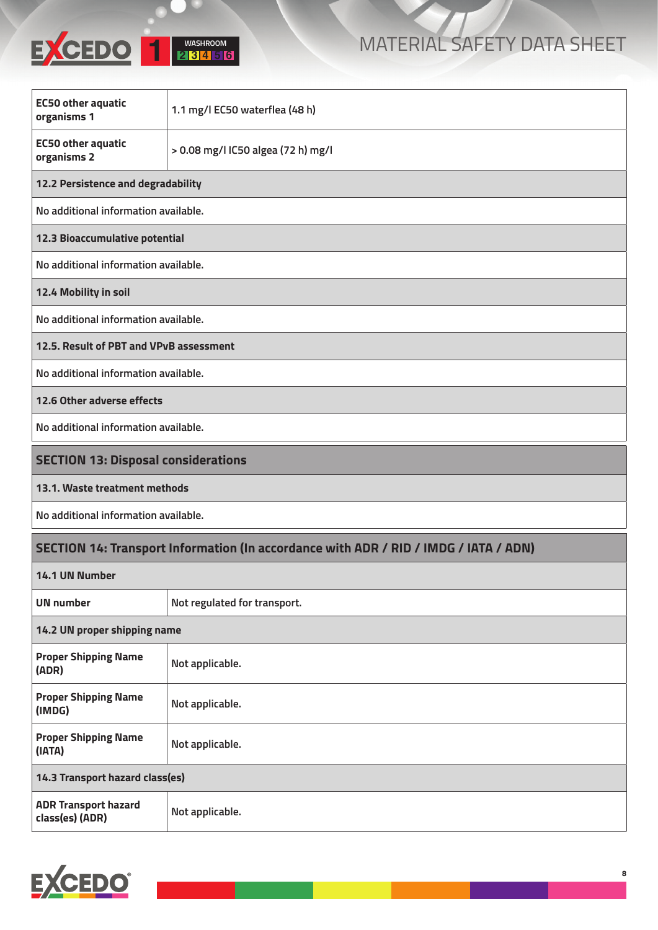

| <b>EC50 other aquatic</b><br>organisms 1                                             | 1.1 mg/l EC50 waterflea (48 h)     |  |
|--------------------------------------------------------------------------------------|------------------------------------|--|
| <b>EC50 other aquatic</b><br>organisms 2                                             | > 0.08 mg/l IC50 algea (72 h) mg/l |  |
| 12.2 Persistence and degradability                                                   |                                    |  |
| No additional information available.                                                 |                                    |  |
| 12.3 Bioaccumulative potential                                                       |                                    |  |
| No additional information available.                                                 |                                    |  |
| 12.4 Mobility in soil                                                                |                                    |  |
| No additional information available.                                                 |                                    |  |
| 12.5. Result of PBT and VPvB assessment                                              |                                    |  |
| No additional information available.                                                 |                                    |  |
| 12.6 Other adverse effects                                                           |                                    |  |
| No additional information available.                                                 |                                    |  |
| <b>SECTION 13: Disposal considerations</b>                                           |                                    |  |
| 13.1. Waste treatment methods                                                        |                                    |  |
| No additional information available.                                                 |                                    |  |
| SECTION 14: Transport Information (In accordance with ADR / RID / IMDG / IATA / ADN) |                                    |  |
| 14.1 UN Number                                                                       |                                    |  |
| <b>UN number</b>                                                                     | Not regulated for transport.       |  |
| 14.2 UN proper shipping name                                                         |                                    |  |
| <b>Proper Shipping Name</b><br>(ADR)                                                 | Not applicable.                    |  |
| <b>Proper Shipping Name</b><br>(IMDG)                                                | Not applicable.                    |  |
| <b>Proper Shipping Name</b><br>(IATA)                                                | Not applicable.                    |  |
| 14.3 Transport hazard class(es)                                                      |                                    |  |
| <b>ADR Transport hazard</b><br>class(es) (ADR)                                       | Not applicable.                    |  |

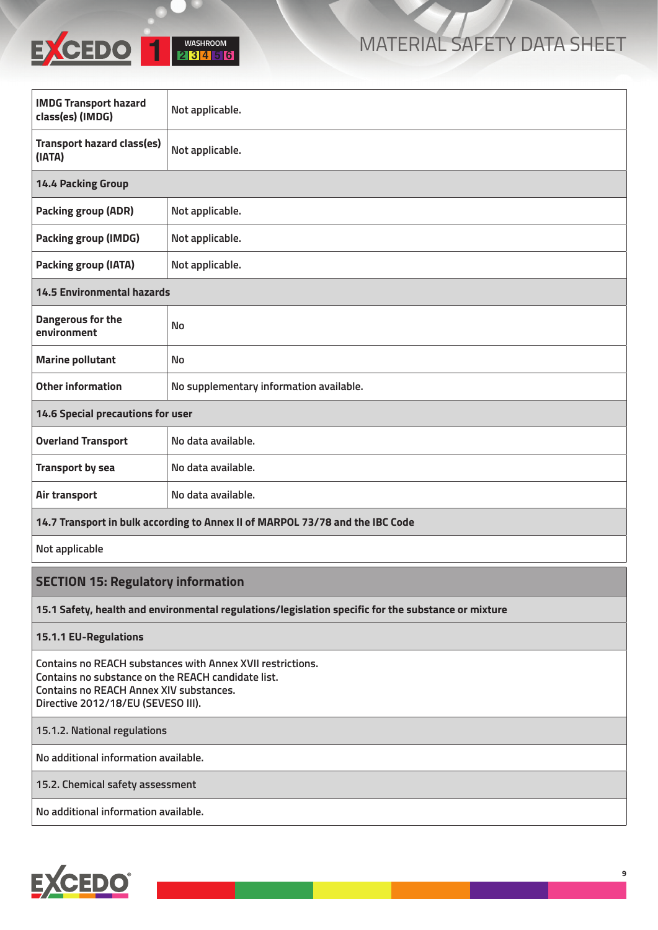

| <b>IMDG Transport hazard</b><br>class(es) (IMDG)                              | Not applicable.                         |  |
|-------------------------------------------------------------------------------|-----------------------------------------|--|
| <b>Transport hazard class(es)</b><br>(IATA)                                   | Not applicable.                         |  |
| <b>14.4 Packing Group</b>                                                     |                                         |  |
| <b>Packing group (ADR)</b>                                                    | Not applicable.                         |  |
| <b>Packing group (IMDG)</b>                                                   | Not applicable.                         |  |
| <b>Packing group (IATA)</b>                                                   | Not applicable.                         |  |
| <b>14.5 Environmental hazards</b>                                             |                                         |  |
| Dangerous for the<br>environment                                              | <b>No</b>                               |  |
| <b>Marine pollutant</b>                                                       | <b>No</b>                               |  |
| <b>Other information</b>                                                      | No supplementary information available. |  |
| <b>14.6 Special precautions for user</b>                                      |                                         |  |
| <b>Overland Transport</b>                                                     | No data available.                      |  |
| <b>Transport by sea</b>                                                       | No data available.                      |  |
| Air transport                                                                 | No data available.                      |  |
| 14.7 Transport in bulk according to Annex II of MARPOL 73/78 and the IBC Code |                                         |  |

**Not applicable**

#### **SECTION 15: Regulatory information**

**15.1 Safety, health and environmental regulations/legislation specific for the substance or mixture**

**15.1.1 EU-Regulations**

**Contains no REACH substances with Annex XVII restrictions. Contains no substance on the REACH candidate list. Contains no REACH Annex XIV substances. Directive 2012/18/EU (SEVESO III).**

**15.1.2. National regulations**

**No additional information available.**

**15.2. Chemical safety assessment**

**No additional information available.**